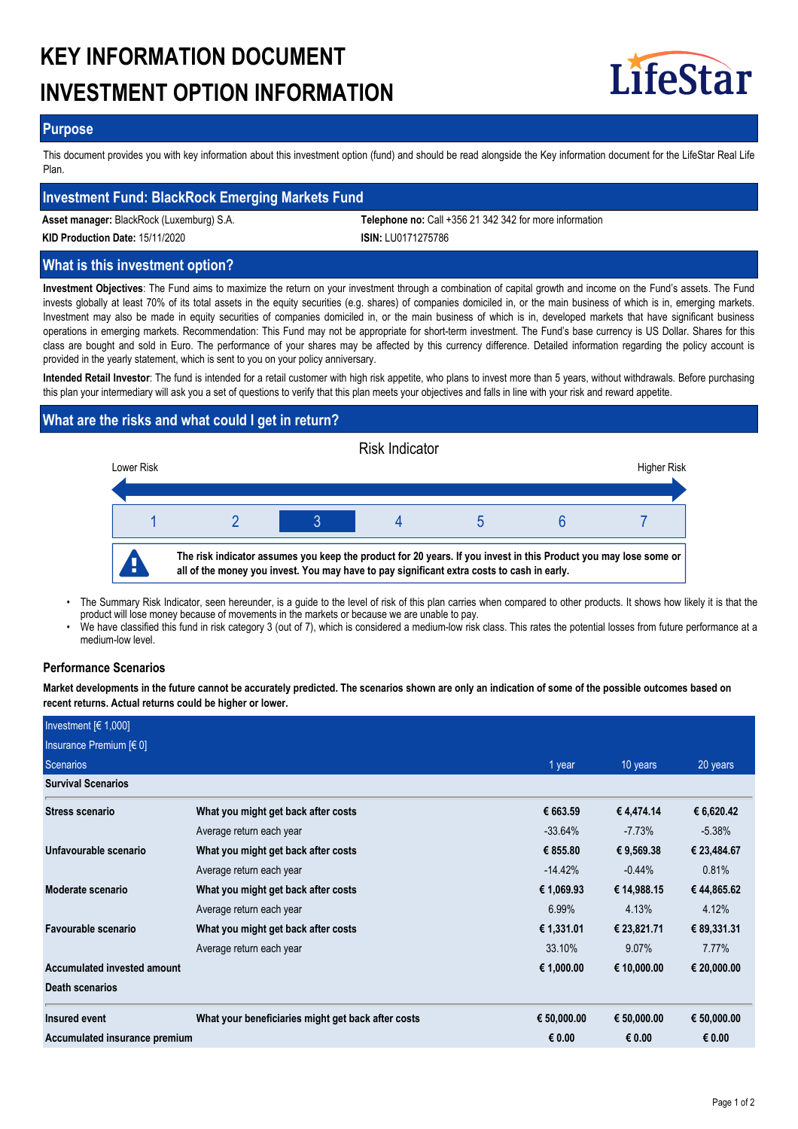# **KEY INFORMATION DOCUMENT INVESTMENT OPTION INFORMATION**



## **Purpose**

This document provides you with key information about this investment option (fund) and should be read alongside the Key information document for the LifeStar Real Life Plan.

## **Investment Fund: BlackRock Emerging Markets Fund**

**Asset manager:** BlackRock (Luxemburg) S.A. **Telephone no:** Call +356 21 342 342 for more information

**KID Production Date:** 15/11/2020 **ISIN:** LU0171275786

## **What is this investment option?**

**Investment Objectives**: The Fund aims to maximize the return on your investment through a combination of capital growth and income on the Fund's assets. The Fund invests globally at least 70% of its total assets in the equity securities (e.g. shares) of companies domiciled in, or the main business of which is in, emerging markets. Investment may also be made in equity securities of companies domiciled in, or the main business of which is in, developed markets that have significant business operations in emerging markets. Recommendation: This Fund may not be appropriate for short-term investment. The Fund's base currency is US Dollar. Shares for this class are bought and sold in Euro. The performance of your shares may be affected by this currency difference. Detailed information regarding the policy account is provided in the yearly statement, which is sent to you on your policy anniversary.

**Intended Retail Investor**: The fund is intended for a retail customer with high risk appetite, who plans to invest more than 5 years, without withdrawals. Before purchasing this plan your intermediary will ask you a set of questions to verify that this plan meets your objectives and falls in line with your risk and reward appetite.

# **What are the risks and what could I get in return?**



- The Summary Risk Indicator, seen hereunder, is a guide to the level of risk of this plan carries when compared to other products. It shows how likely it is that the product will lose money because of movements in the markets or because we are unable to pay. •
- We have classified this fund in risk category 3 (out of 7), which is considered a medium-low risk class. This rates the potential losses from future performance at a medium-low level. •

## **Performance Scenarios**

**Market developments in the future cannot be accurately predicted. The scenarios shown are only an indication of some of the possible outcomes based on recent returns. Actual returns could be higher or lower.**

| Investment $[6 1,000]$        |                                                    |             |             |             |
|-------------------------------|----------------------------------------------------|-------------|-------------|-------------|
| Insurance Premium [€ 0]       |                                                    |             |             |             |
| Scenarios                     |                                                    | 1 year      | 10 years    | 20 years    |
| <b>Survival Scenarios</b>     |                                                    |             |             |             |
| Stress scenario               | What you might get back after costs                | € 663.59    | €4,474.14   | € 6,620.42  |
|                               | Average return each year                           | $-33.64%$   | $-7.73%$    | $-5.38%$    |
| Unfavourable scenario         | What you might get back after costs                | € 855.80    | € 9,569.38  | € 23,484.67 |
|                               | Average return each year                           | $-14.42%$   | $-0.44\%$   | 0.81%       |
| Moderate scenario             | What you might get back after costs                | € 1,069.93  | € 14,988.15 | € 44,865.62 |
|                               | Average return each year                           | 6.99%       | 4.13%       | 4.12%       |
| Favourable scenario           | What you might get back after costs                | € 1,331.01  | € 23,821.71 | € 89,331.31 |
|                               | Average return each year                           | 33.10%      | 9.07%       | 7.77%       |
| Accumulated invested amount   |                                                    | € 1,000.00  | € 10,000.00 | € 20,000.00 |
| Death scenarios               |                                                    |             |             |             |
| Insured event                 | What your beneficiaries might get back after costs | € 50,000.00 | € 50,000.00 | € 50,000.00 |
| Accumulated insurance premium |                                                    | € 0.00      | € 0.00      | € 0.00      |